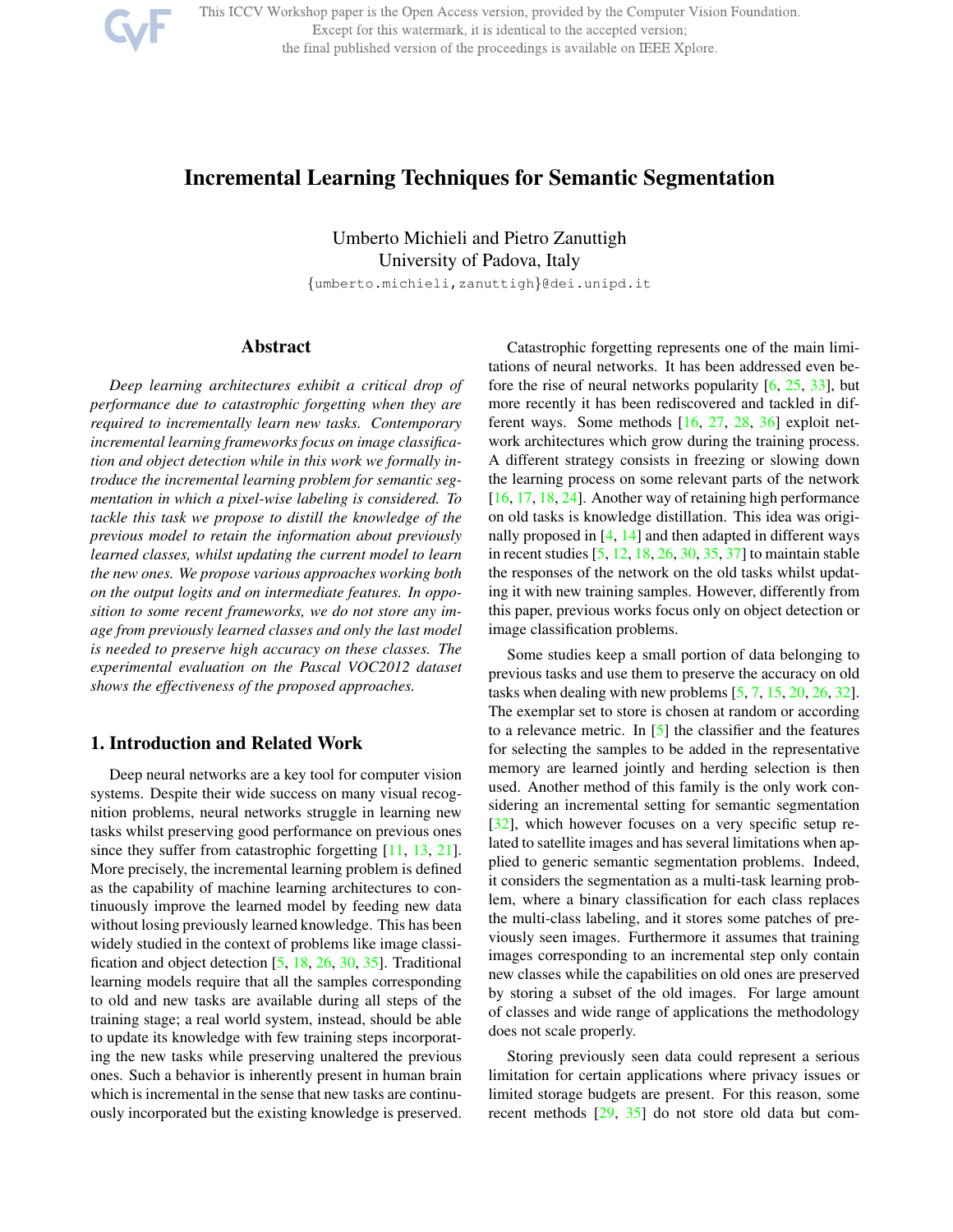

This ICCV Workshop paper is the Open Access version, provided by the Computer Vision Foundation. Except for this watermark, it is identical to the accepted version; the final published version of the proceedings is available on IEEE Xplore.

## Incremental Learning Techniques for Semantic Segmentation

Umberto Michieli and Pietro Zanuttigh University of Padova, Italy

{umberto.michieli,zanuttigh}@dei.unipd.it

### Abstract

*Deep learning architectures exhibit a critical drop of performance due to catastrophic forgetting when they are required to incrementally learn new tasks. Contemporary incremental learning frameworks focus on image classification and object detection while in this work we formally introduce the incremental learning problem for semantic segmentation in which a pixel-wise labeling is considered. To tackle this task we propose to distill the knowledge of the previous model to retain the information about previously learned classes, whilst updating the current model to learn the new ones. We propose various approaches working both on the output logits and on intermediate features. In opposition to some recent frameworks, we do not store any image from previously learned classes and only the last model is needed to preserve high accuracy on these classes. The experimental evaluation on the Pascal VOC2012 dataset shows the effectiveness of the proposed approaches.*

## 1. Introduction and Related Work

Deep neural networks are a key tool for computer vision systems. Despite their wide success on many visual recognition problems, neural networks struggle in learning new tasks whilst preserving good performance on previous ones since they suffer from catastrophic forgetting [11, 13, 21]. More precisely, the incremental learning problem is defined as the capability of machine learning architectures to continuously improve the learned model by feeding new data without losing previously learned knowledge. This has been widely studied in the context of problems like image classification and object detection [5, 18, 26, 30, 35]. Traditional learning models require that all the samples corresponding to old and new tasks are available during all steps of the training stage; a real world system, instead, should be able to update its knowledge with few training steps incorporating the new tasks while preserving unaltered the previous ones. Such a behavior is inherently present in human brain which is incremental in the sense that new tasks are continuously incorporated but the existing knowledge is preserved.

Catastrophic forgetting represents one of the main limitations of neural networks. It has been addressed even before the rise of neural networks popularity  $[6, 25, 33]$ , but more recently it has been rediscovered and tackled in different ways. Some methods [16, 27, 28, 36] exploit network architectures which grow during the training process. A different strategy consists in freezing or slowing down the learning process on some relevant parts of the network [16, 17, 18, 24]. Another way of retaining high performance on old tasks is knowledge distillation. This idea was originally proposed in  $[4, 14]$  and then adapted in different ways in recent studies [5, 12, 18, 26, 30, 35, 37] to maintain stable the responses of the network on the old tasks whilst updating it with new training samples. However, differently from this paper, previous works focus only on object detection or image classification problems.

Some studies keep a small portion of data belonging to previous tasks and use them to preserve the accuracy on old tasks when dealing with new problems  $[5, 7, 15, 20, 26, 32]$ . The exemplar set to store is chosen at random or according to a relevance metric. In [5] the classifier and the features for selecting the samples to be added in the representative memory are learned jointly and herding selection is then used. Another method of this family is the only work considering an incremental setting for semantic segmentation [32], which however focuses on a very specific setup related to satellite images and has several limitations when applied to generic semantic segmentation problems. Indeed, it considers the segmentation as a multi-task learning problem, where a binary classification for each class replaces the multi-class labeling, and it stores some patches of previously seen images. Furthermore it assumes that training images corresponding to an incremental step only contain new classes while the capabilities on old ones are preserved by storing a subset of the old images. For large amount of classes and wide range of applications the methodology does not scale properly.

Storing previously seen data could represent a serious limitation for certain applications where privacy issues or limited storage budgets are present. For this reason, some recent methods [29, 35] do not store old data but com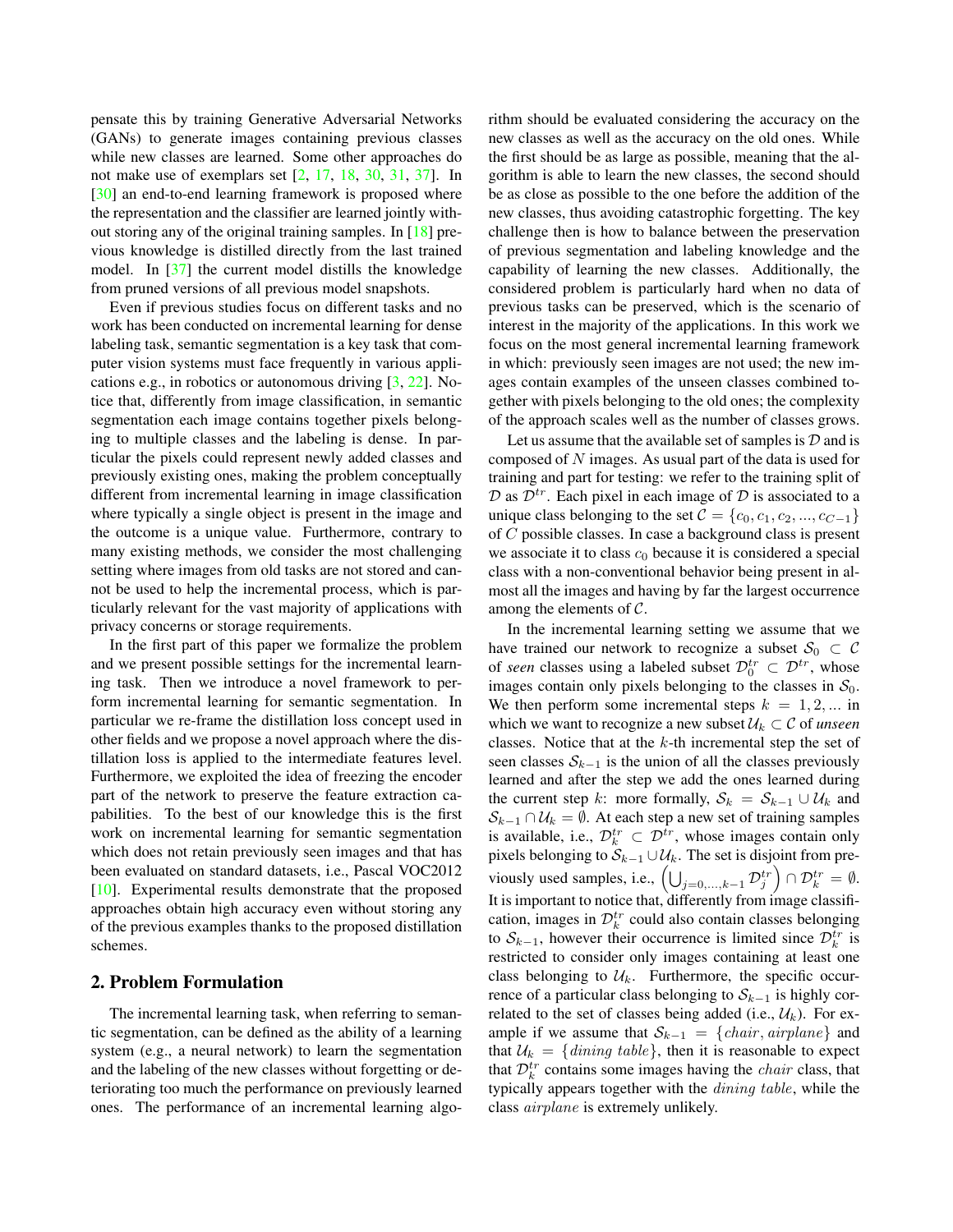pensate this by training Generative Adversarial Networks (GANs) to generate images containing previous classes while new classes are learned. Some other approaches do not make use of exemplars set [2, 17, 18, 30, 31, 37]. In [30] an end-to-end learning framework is proposed where the representation and the classifier are learned jointly without storing any of the original training samples. In [18] previous knowledge is distilled directly from the last trained model. In [37] the current model distills the knowledge from pruned versions of all previous model snapshots.

Even if previous studies focus on different tasks and no work has been conducted on incremental learning for dense labeling task, semantic segmentation is a key task that computer vision systems must face frequently in various applications e.g., in robotics or autonomous driving [3, 22]. Notice that, differently from image classification, in semantic segmentation each image contains together pixels belonging to multiple classes and the labeling is dense. In particular the pixels could represent newly added classes and previously existing ones, making the problem conceptually different from incremental learning in image classification where typically a single object is present in the image and the outcome is a unique value. Furthermore, contrary to many existing methods, we consider the most challenging setting where images from old tasks are not stored and cannot be used to help the incremental process, which is particularly relevant for the vast majority of applications with privacy concerns or storage requirements.

In the first part of this paper we formalize the problem and we present possible settings for the incremental learning task. Then we introduce a novel framework to perform incremental learning for semantic segmentation. In particular we re-frame the distillation loss concept used in other fields and we propose a novel approach where the distillation loss is applied to the intermediate features level. Furthermore, we exploited the idea of freezing the encoder part of the network to preserve the feature extraction capabilities. To the best of our knowledge this is the first work on incremental learning for semantic segmentation which does not retain previously seen images and that has been evaluated on standard datasets, i.e., Pascal VOC2012 [10]. Experimental results demonstrate that the proposed approaches obtain high accuracy even without storing any of the previous examples thanks to the proposed distillation schemes.

### 2. Problem Formulation

The incremental learning task, when referring to semantic segmentation, can be defined as the ability of a learning system (e.g., a neural network) to learn the segmentation and the labeling of the new classes without forgetting or deteriorating too much the performance on previously learned ones. The performance of an incremental learning algo-

rithm should be evaluated considering the accuracy on the new classes as well as the accuracy on the old ones. While the first should be as large as possible, meaning that the algorithm is able to learn the new classes, the second should be as close as possible to the one before the addition of the new classes, thus avoiding catastrophic forgetting. The key challenge then is how to balance between the preservation of previous segmentation and labeling knowledge and the capability of learning the new classes. Additionally, the considered problem is particularly hard when no data of previous tasks can be preserved, which is the scenario of interest in the majority of the applications. In this work we focus on the most general incremental learning framework in which: previously seen images are not used; the new images contain examples of the unseen classes combined together with pixels belonging to the old ones; the complexity of the approach scales well as the number of classes grows.

Let us assume that the available set of samples is  $D$  and is composed of  $N$  images. As usual part of the data is used for training and part for testing: we refer to the training split of  $\mathcal D$  as  $\mathcal D^{tr}$ . Each pixel in each image of  $\mathcal D$  is associated to a unique class belonging to the set  $C = \{c_0, c_1, c_2, ..., c_{C-1}\}$ of C possible classes. In case a background class is present we associate it to class  $c_0$  because it is considered a special class with a non-conventional behavior being present in almost all the images and having by far the largest occurrence among the elements of  $C$ .

In the incremental learning setting we assume that we have trained our network to recognize a subset  $S_0 \subset C$ of *seen* classes using a labeled subset  $\mathcal{D}_0^{tr} \subset \mathcal{D}^{tr}$ , whose images contain only pixels belonging to the classes in  $S_0$ . We then perform some incremental steps  $k = 1, 2, ...$  in which we want to recognize a new subset  $\mathcal{U}_k \subset \mathcal{C}$  of *unseen* classes. Notice that at the  $k$ -th incremental step the set of seen classes  $S_{k-1}$  is the union of all the classes previously learned and after the step we add the ones learned during the current step k: more formally,  $S_k = S_{k-1} \cup \mathcal{U}_k$  and  $S_{k-1} \cap U_k = \emptyset$ . At each step a new set of training samples is available, i.e.,  $\mathcal{D}_k^{tr} \subset \mathcal{D}^{tr}$ , whose images contain only pixels belonging to  $\mathcal{S}_{k-1} \cup \mathcal{U}_k$ . The set is disjoint from previously used samples, i.e.,  $\left(\bigcup_{j=0,\dots,k-1} \mathcal{D}_j^{tr}\right) \cap \mathcal{D}_k^{tr} = \emptyset$ . It is important to notice that, differently from image classification, images in  $\mathcal{D}_k^{tr}$  could also contain classes belonging to  $S_{k-1}$ , however their occurrence is limited since  $\mathcal{D}_k^{tr}$  is restricted to consider only images containing at least one class belonging to  $\mathcal{U}_k$ . Furthermore, the specific occurrence of a particular class belonging to  $S_{k-1}$  is highly correlated to the set of classes being added (i.e.,  $\mathcal{U}_k$ ). For example if we assume that  $S_{k-1} = \{chair, airplane\}$  and that  $\mathcal{U}_k = \{$ dining table}, then it is reasonable to expect that  $\mathcal{D}_k^{tr}$  contains some images having the *chair* class, that typically appears together with the *dining table*, while the class *airplane* is extremely unlikely.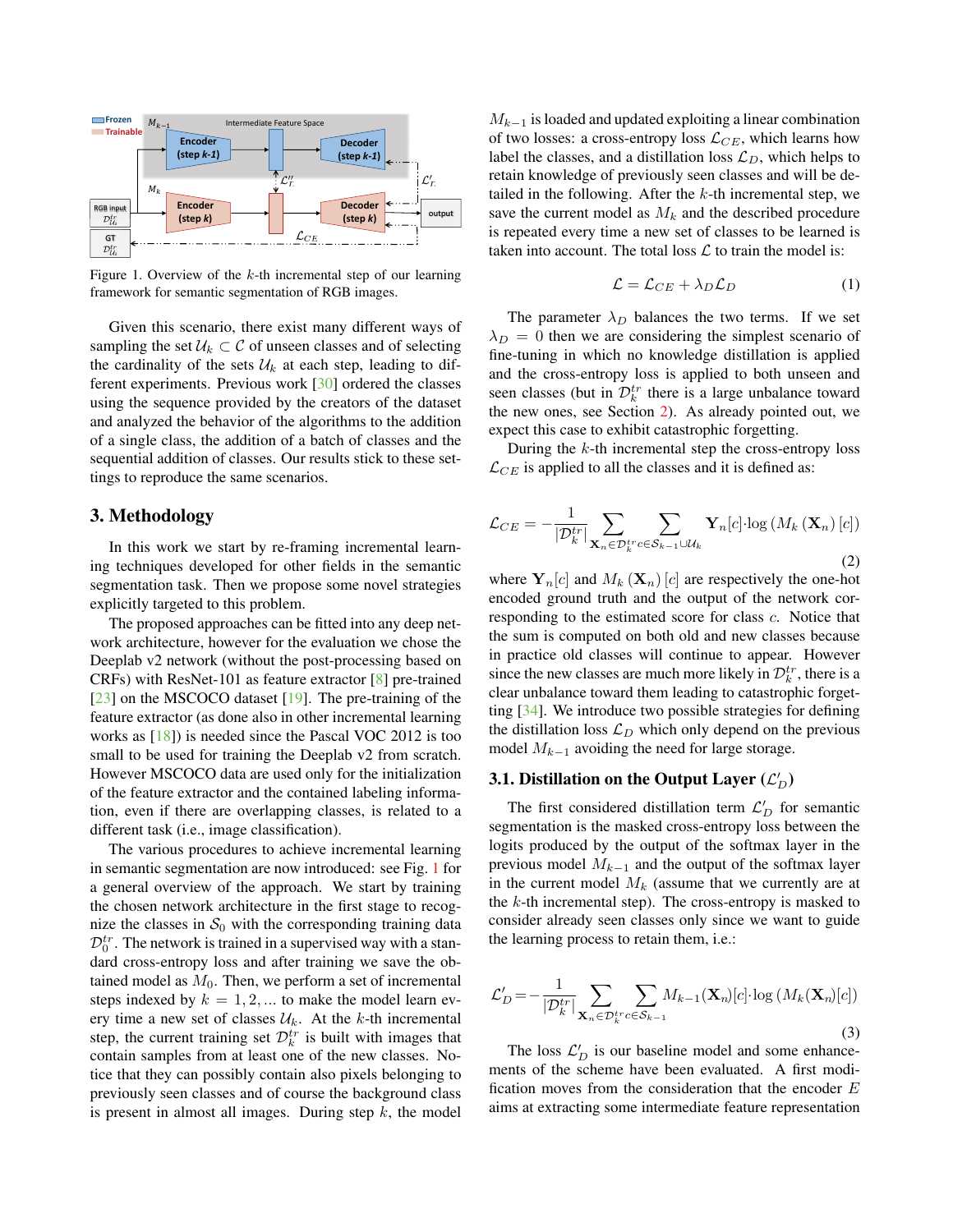

Figure 1. Overview of the k-th incremental step of our learning framework for semantic segmentation of RGB images.

Given this scenario, there exist many different ways of sampling the set  $U_k \subset \mathcal{C}$  of unseen classes and of selecting the cardinality of the sets  $\mathcal{U}_k$  at each step, leading to different experiments. Previous work [30] ordered the classes using the sequence provided by the creators of the dataset and analyzed the behavior of the algorithms to the addition of a single class, the addition of a batch of classes and the sequential addition of classes. Our results stick to these settings to reproduce the same scenarios.

### 3. Methodology

In this work we start by re-framing incremental learning techniques developed for other fields in the semantic segmentation task. Then we propose some novel strategies explicitly targeted to this problem.

The proposed approaches can be fitted into any deep network architecture, however for the evaluation we chose the Deeplab v2 network (without the post-processing based on CRFs) with ResNet-101 as feature extractor [8] pre-trained [23] on the MSCOCO dataset [19]. The pre-training of the feature extractor (as done also in other incremental learning works as [18]) is needed since the Pascal VOC 2012 is too small to be used for training the Deeplab v2 from scratch. However MSCOCO data are used only for the initialization of the feature extractor and the contained labeling information, even if there are overlapping classes, is related to a different task (i.e., image classification).

The various procedures to achieve incremental learning in semantic segmentation are now introduced: see Fig. 1 for a general overview of the approach. We start by training the chosen network architecture in the first stage to recognize the classes in  $S_0$  with the corresponding training data  $\mathcal{D}_0^{tr}$ . The network is trained in a supervised way with a standard cross-entropy loss and after training we save the obtained model as  $M_0$ . Then, we perform a set of incremental steps indexed by  $k = 1, 2, \dots$  to make the model learn every time a new set of classes  $\mathcal{U}_k$ . At the k-th incremental step, the current training set  $\mathcal{D}_k^{tr}$  is built with images that contain samples from at least one of the new classes. Notice that they can possibly contain also pixels belonging to previously seen classes and of course the background class is present in almost all images. During step  $k$ , the model

 $M_{k-1}$  is loaded and updated exploiting a linear combination of two losses: a cross-entropy loss  $\mathcal{L}_{CE}$ , which learns how label the classes, and a distillation loss  $\mathcal{L}_D$ , which helps to retain knowledge of previously seen classes and will be detailed in the following. After the  $k$ -th incremental step, we save the current model as  $M_k$  and the described procedure is repeated every time a new set of classes to be learned is taken into account. The total loss  $\mathcal L$  to train the model is:

$$
\mathcal{L} = \mathcal{L}_{CE} + \lambda_D \mathcal{L}_D \tag{1}
$$

The parameter  $\lambda_D$  balances the two terms. If we set  $\lambda_D = 0$  then we are considering the simplest scenario of fine-tuning in which no knowledge distillation is applied and the cross-entropy loss is applied to both unseen and seen classes (but in  $\mathcal{D}_k^{tr}$  there is a large unbalance toward the new ones, see Section 2). As already pointed out, we expect this case to exhibit catastrophic forgetting.

During the  $k$ -th incremental step the cross-entropy loss  $\mathcal{L}_{CE}$  is applied to all the classes and it is defined as:

$$
\mathcal{L}_{CE} = -\frac{1}{|\mathcal{D}_k^{tr}|} \sum_{\mathbf{X}_n \in \mathcal{D}_k^{tr} c \in \mathcal{S}_{k-1} \cup \mathcal{U}_k} \mathbf{Y}_n[c] \cdot \log\left(M_k\left(\mathbf{X}_n\right)[c]\right)
$$
\n(2)

where  $Y_n[c]$  and  $M_k(\mathbf{X}_n)[c]$  are respectively the one-hot encoded ground truth and the output of the network corresponding to the estimated score for class c. Notice that the sum is computed on both old and new classes because in practice old classes will continue to appear. However since the new classes are much more likely in  $\mathcal{D}_k^{tr}$ , there is a clear unbalance toward them leading to catastrophic forgetting [34]. We introduce two possible strategies for defining the distillation loss  $\mathcal{L}_D$  which only depend on the previous model  $M_{k-1}$  avoiding the need for large storage.

# 3.1. Distillation on the Output Layer  $(\mathcal{L}_D')$

The first considered distillation term  $\mathcal{L}'_D$  for semantic segmentation is the masked cross-entropy loss between the logits produced by the output of the softmax layer in the previous model  $M_{k-1}$  and the output of the softmax layer in the current model  $M_k$  (assume that we currently are at the  $k$ -th incremental step). The cross-entropy is masked to consider already seen classes only since we want to guide the learning process to retain them, i.e.:

$$
\mathcal{L}'_D = -\frac{1}{|\mathcal{D}_k^{tr}|} \sum_{\mathbf{X}_n \in \mathcal{D}_k^{tr} c \in \mathcal{S}_{k-1}} M_{k-1}(\mathbf{X}_n)[c] \cdot \log \left( M_k(\mathbf{X}_n)[c] \right)
$$
\n(3)

The loss  $\mathcal{L}'_D$  is our baseline model and some enhancements of the scheme have been evaluated. A first modification moves from the consideration that the encoder  $E$ aims at extracting some intermediate feature representation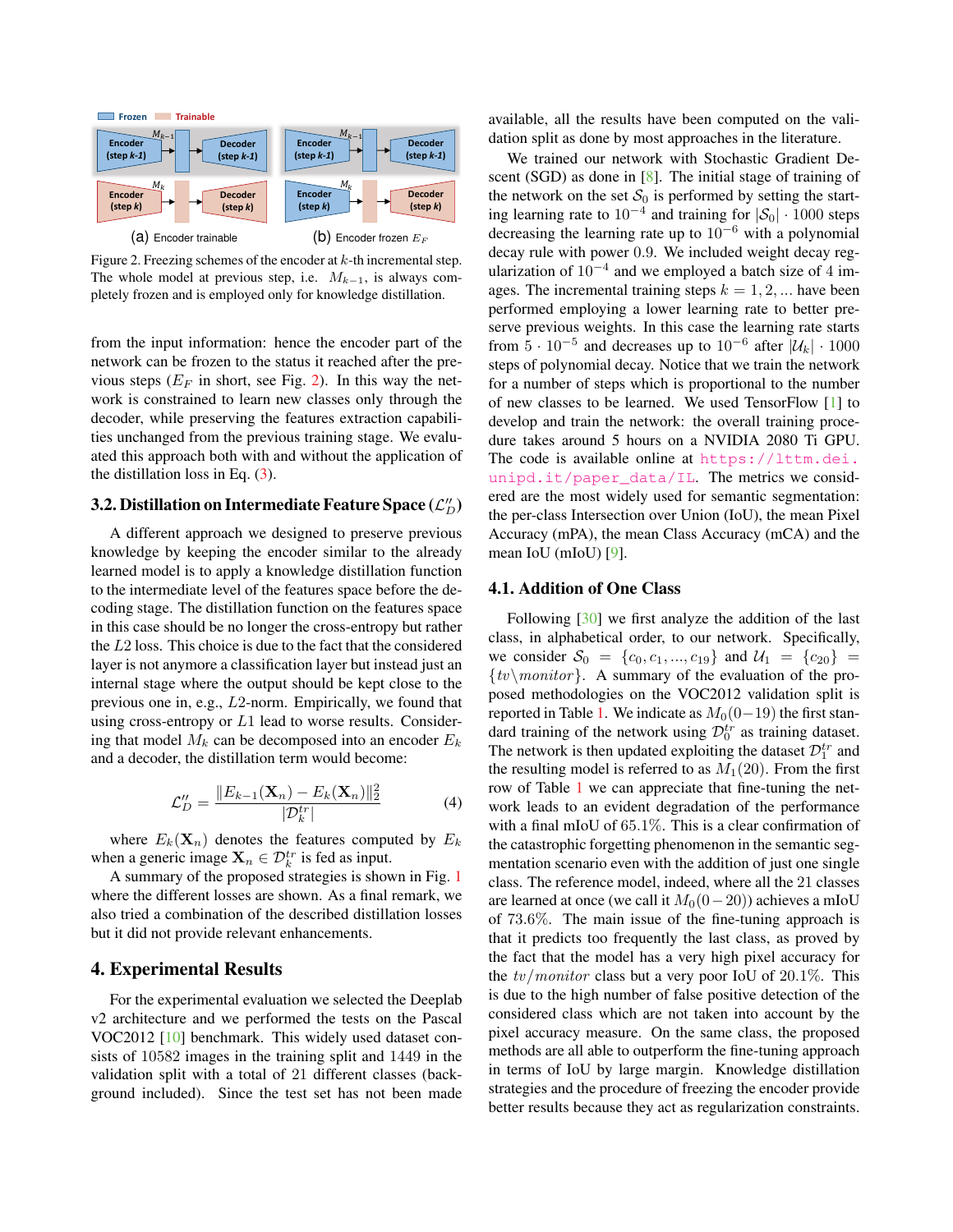

Figure 2. Freezing schemes of the encoder at  $k$ -th incremental step. The whole model at previous step, i.e.  $M_{k-1}$ , is always completely frozen and is employed only for knowledge distillation.

from the input information: hence the encoder part of the network can be frozen to the status it reached after the previous steps ( $E_F$  in short, see Fig. 2). In this way the network is constrained to learn new classes only through the decoder, while preserving the features extraction capabilities unchanged from the previous training stage. We evaluated this approach both with and without the application of the distillation loss in Eq. (3).

# 3.2. Distillation on Intermediate Feature Space  $(\mathcal{L}''_D)$

A different approach we designed to preserve previous knowledge by keeping the encoder similar to the already learned model is to apply a knowledge distillation function to the intermediate level of the features space before the decoding stage. The distillation function on the features space in this case should be no longer the cross-entropy but rather the L2 loss. This choice is due to the fact that the considered layer is not anymore a classification layer but instead just an internal stage where the output should be kept close to the previous one in, e.g., L2-norm. Empirically, we found that using cross-entropy or  $L1$  lead to worse results. Considering that model  $M_k$  can be decomposed into an encoder  $E_k$ and a decoder, the distillation term would become:

$$
\mathcal{L}_{D}'' = \frac{\|E_{k-1}(\mathbf{X}_n) - E_k(\mathbf{X}_n)\|_2^2}{|\mathcal{D}_k^{tr}|}\tag{4}
$$

where  $E_k(\mathbf{X}_n)$  denotes the features computed by  $E_k$ when a generic image  $\mathbf{X}_n \in \mathcal{D}_k^{tr}$  is fed as input.

A summary of the proposed strategies is shown in Fig. 1 where the different losses are shown. As a final remark, we also tried a combination of the described distillation losses but it did not provide relevant enhancements.

### 4. Experimental Results

For the experimental evaluation we selected the Deeplab v2 architecture and we performed the tests on the Pascal VOC2012 [10] benchmark. This widely used dataset consists of 10582 images in the training split and 1449 in the validation split with a total of 21 different classes (background included). Since the test set has not been made available, all the results have been computed on the validation split as done by most approaches in the literature.

We trained our network with Stochastic Gradient Descent (SGD) as done in [8]. The initial stage of training of the network on the set  $S_0$  is performed by setting the starting learning rate to  $10^{-4}$  and training for  $|\mathcal{S}_0| \cdot 1000$  steps decreasing the learning rate up to  $10^{-6}$  with a polynomial decay rule with power 0.9. We included weight decay regularization of  $10^{-4}$  and we employed a batch size of 4 images. The incremental training steps  $k = 1, 2, \dots$  have been performed employing a lower learning rate to better preserve previous weights. In this case the learning rate starts from  $\overline{5} \cdot 10^{-5}$  and decreases up to  $10^{-6}$  after  $|\mathcal{U}_k| \cdot 1000$ steps of polynomial decay. Notice that we train the network for a number of steps which is proportional to the number of new classes to be learned. We used TensorFlow [1] to develop and train the network: the overall training procedure takes around 5 hours on a NVIDIA 2080 Ti GPU. The code is available online at https://lttm.dei. unipd.it/paper\_data/IL. The metrics we considered are the most widely used for semantic segmentation: the per-class Intersection over Union (IoU), the mean Pixel Accuracy (mPA), the mean Class Accuracy (mCA) and the mean IoU (mIoU) [9].

#### 4.1. Addition of One Class

Following [30] we first analyze the addition of the last class, in alphabetical order, to our network. Specifically, we consider  $S_0 = \{c_0, c_1, ..., c_{19}\}\$  and  $U_1 = \{c_{20}\}\$  $\{tv\$ *monitor*}. A summary of the evaluation of the proposed methodologies on the VOC2012 validation split is reported in Table 1. We indicate as  $M_0(0-19)$  the first standard training of the network using  $\mathcal{D}_0^{tr}$  as training dataset. The network is then updated exploiting the dataset  $\mathcal{D}_1^{tr}$  and the resulting model is referred to as  $M_1(20)$ . From the first row of Table 1 we can appreciate that fine-tuning the network leads to an evident degradation of the performance with a final mIoU of 65.1%. This is a clear confirmation of the catastrophic forgetting phenomenon in the semantic segmentation scenario even with the addition of just one single class. The reference model, indeed, where all the 21 classes are learned at once (we call it  $M_0(0-20)$ ) achieves a mIoU of 73.6%. The main issue of the fine-tuning approach is that it predicts too frequently the last class, as proved by the fact that the model has a very high pixel accuracy for the  $tv/monitor$  class but a very poor IoU of 20.1%. This is due to the high number of false positive detection of the considered class which are not taken into account by the pixel accuracy measure. On the same class, the proposed methods are all able to outperform the fine-tuning approach in terms of IoU by large margin. Knowledge distillation strategies and the procedure of freezing the encoder provide better results because they act as regularization constraints.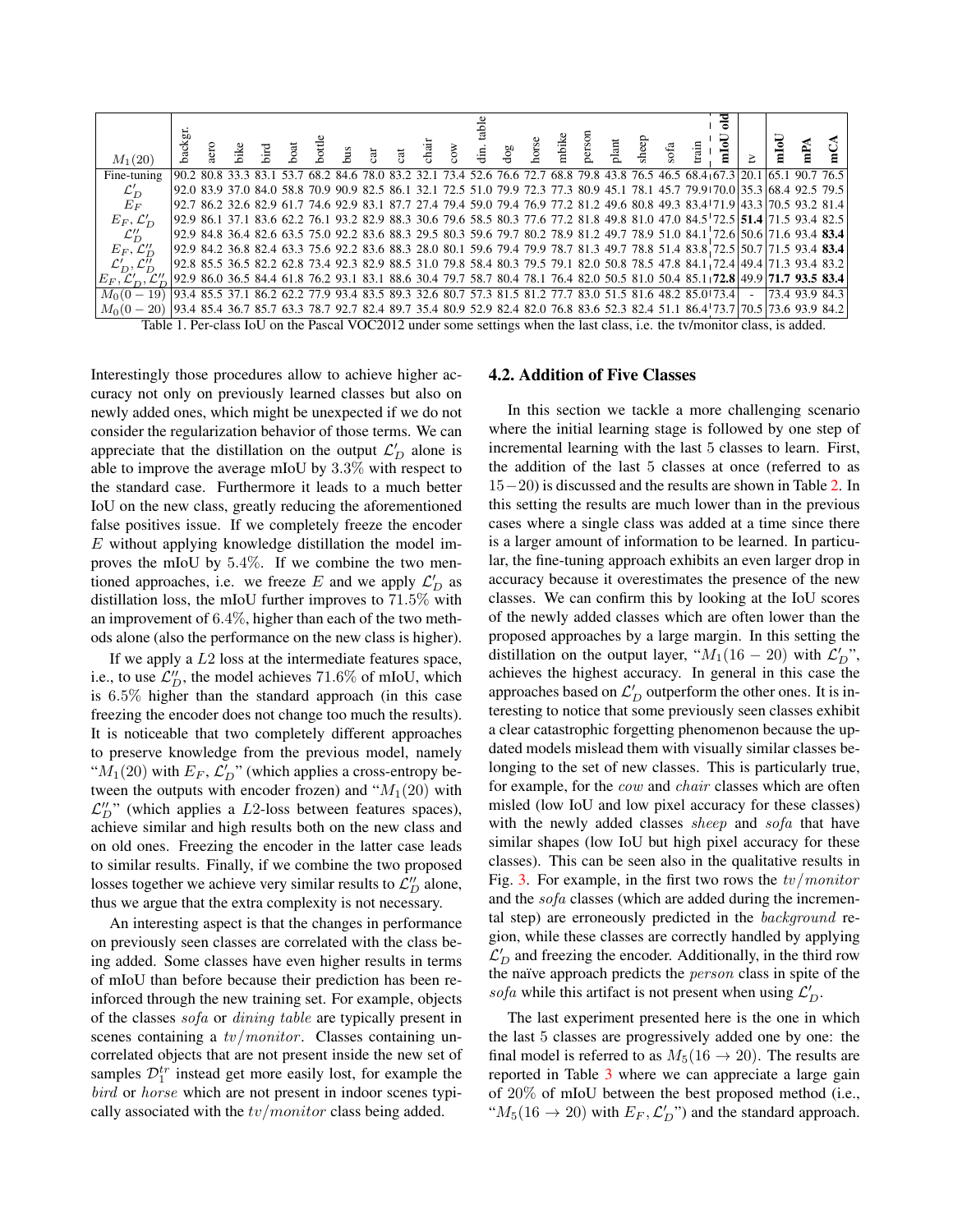

Interestingly those procedures allow to achieve higher accuracy not only on previously learned classes but also on newly added ones, which might be unexpected if we do not consider the regularization behavior of those terms. We can appreciate that the distillation on the output  $\mathcal{L}'_D$  alone is able to improve the average mIoU by 3.3% with respect to the standard case. Furthermore it leads to a much better IoU on the new class, greatly reducing the aforementioned false positives issue. If we completely freeze the encoder  $E$  without applying knowledge distillation the model improves the mIoU by 5.4%. If we combine the two mentioned approaches, i.e. we freeze E and we apply  $\mathcal{L}'_D$  as distillation loss, the mIoU further improves to 71.5% with an improvement of 6.4%, higher than each of the two methods alone (also the performance on the new class is higher).

If we apply a  $L2$  loss at the intermediate features space, i.e., to use  $\mathcal{L}_{D}^{"}$ , the model achieves 71.6% of mIoU, which is 6.5% higher than the standard approach (in this case freezing the encoder does not change too much the results). It is noticeable that two completely different approaches to preserve knowledge from the previous model, namely " $M_1(20)$  with  $E_F$ ,  $\mathcal{L}'_D$ " (which applies a cross-entropy between the outputs with encoder frozen) and " $M_1(20)$  with  $\mathcal{L}_{D}^{"}$ " (which applies a L2-loss between features spaces), achieve similar and high results both on the new class and on old ones. Freezing the encoder in the latter case leads to similar results. Finally, if we combine the two proposed losses together we achieve very similar results to  $\mathcal{L}_{D}^{"}$  alone, thus we argue that the extra complexity is not necessary.

An interesting aspect is that the changes in performance on previously seen classes are correlated with the class being added. Some classes have even higher results in terms of mIoU than before because their prediction has been reinforced through the new training set. For example, objects of the classes sofa or dining table are typically present in scenes containing a  $tv/monitor$ . Classes containing uncorrelated objects that are not present inside the new set of samples  $\mathcal{D}_1^{tr}$  instead get more easily lost, for example the bird or horse which are not present in indoor scenes typically associated with the  $tv/monitor$  class being added.

#### 4.2. Addition of Five Classes

In this section we tackle a more challenging scenario where the initial learning stage is followed by one step of incremental learning with the last 5 classes to learn. First, the addition of the last 5 classes at once (referred to as 15−20) is discussed and the results are shown in Table 2. In this setting the results are much lower than in the previous cases where a single class was added at a time since there is a larger amount of information to be learned. In particular, the fine-tuning approach exhibits an even larger drop in accuracy because it overestimates the presence of the new classes. We can confirm this by looking at the IoU scores of the newly added classes which are often lower than the proposed approaches by a large margin. In this setting the distillation on the output layer, " $M_1(16-20)$  with  $\mathcal{L}'_D$ ", achieves the highest accuracy. In general in this case the approaches based on  $\mathcal{L}'_D$  outperform the other ones. It is interesting to notice that some previously seen classes exhibit a clear catastrophic forgetting phenomenon because the updated models mislead them with visually similar classes belonging to the set of new classes. This is particularly true, for example, for the *cow* and *chair* classes which are often misled (low IoU and low pixel accuracy for these classes) with the newly added classes *sheep* and *sofa* that have similar shapes (low IoU but high pixel accuracy for these classes). This can be seen also in the qualitative results in Fig. 3. For example, in the first two rows the  $tv/monitor$ and the sofa classes (which are added during the incremental step) are erroneously predicted in the background region, while these classes are correctly handled by applying  $\mathcal{L}'_D$  and freezing the encoder. Additionally, in the third row the naïve approach predicts the *person* class in spite of the sofa while this artifact is not present when using  $\mathcal{L}'_D$ .

The last experiment presented here is the one in which the last 5 classes are progressively added one by one: the final model is referred to as  $M_5(16 \rightarrow 20)$ . The results are reported in Table 3 where we can appreciate a large gain of 20% of mIoU between the best proposed method (i.e., " $M_5(16 \rightarrow 20)$  with  $E_F$ ,  $\mathcal{L}'_D$ " and the standard approach.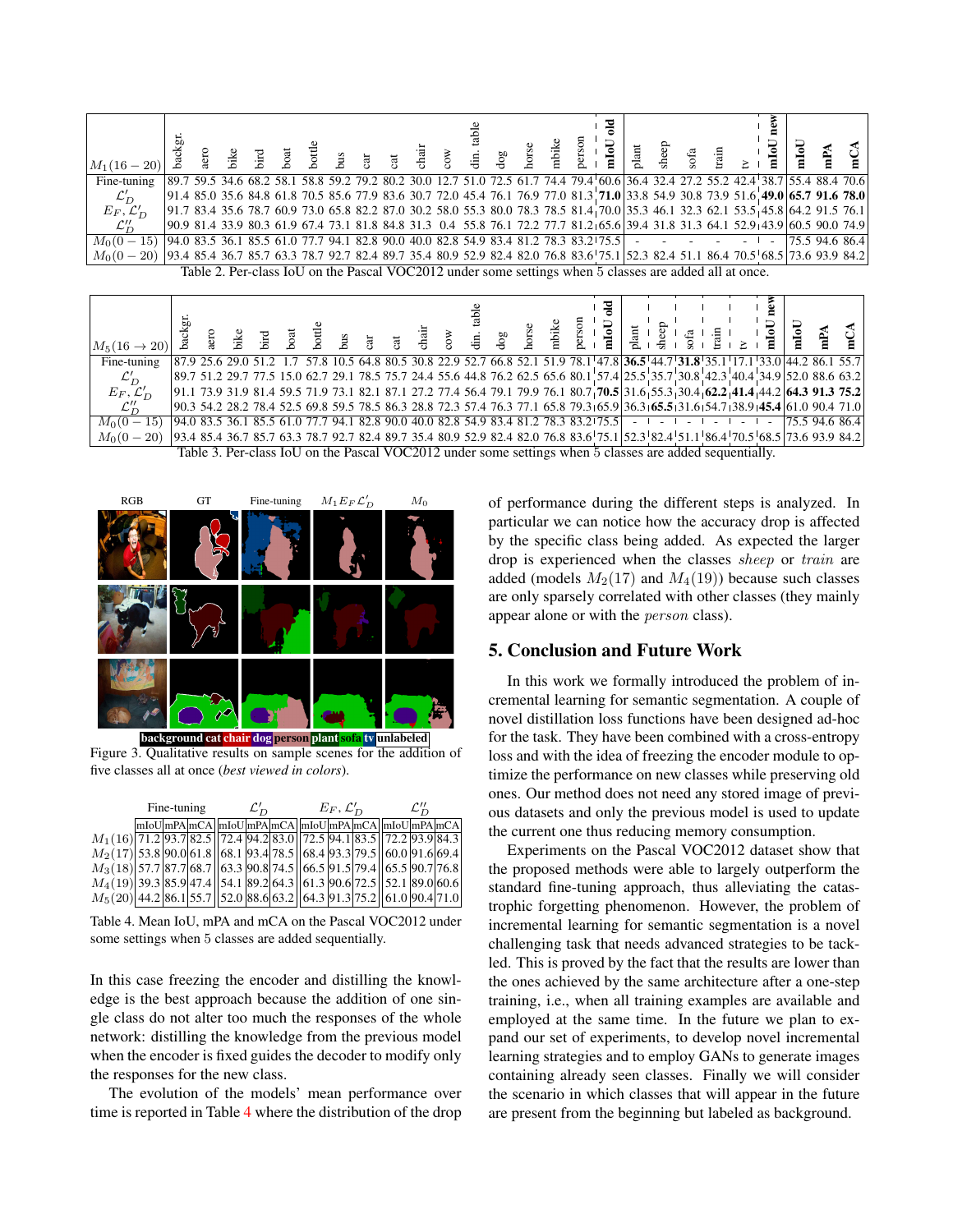| $M_1(16-20)$                                                                                                                                      | backgı |  |  |  |  |  |  |  | 긩<br>age of the state of the state of the state of the state of the state of the state of the state of the state of the state of the state of the state of the state of the state of the state of the state of the state of the sta |  | $s$ ofa | $\frac{1}{2}$ | e.<br>$_{\rm mIoU}$ | $P_A$               |  |
|---------------------------------------------------------------------------------------------------------------------------------------------------|--------|--|--|--|--|--|--|--|-------------------------------------------------------------------------------------------------------------------------------------------------------------------------------------------------------------------------------------|--|---------|---------------|---------------------|---------------------|--|
| Fine-tuning                                                                                                                                       |        |  |  |  |  |  |  |  | 89.7 59.5 34.6 68.2 58.1 58.8 59.2 79.2 80.2 30.0 12.7 51.0 72.5 61.7 74.4 79.4 60.6 36.4 32.4 27.2 55.2 42.4 38.7 55.4 88.4 70.6                                                                                                   |  |         |               |                     |                     |  |
|                                                                                                                                                   |        |  |  |  |  |  |  |  | 91.4 85.0 35.6 84.8 61.8 70.5 85.6 77.9 83.6 30.7 72.0 45.4 76.1 76.9 77.0 81.3 71.0 33.8 54.9 30.8 73.9 51.6 49.0 65.7 91.6 78.0                                                                                                   |  |         |               |                     |                     |  |
| $\mathcal{L}'_D$<br>$E_F, \mathcal{L}'_D$                                                                                                         |        |  |  |  |  |  |  |  | 91.7 83.4 35.6 78.7 60.9 73.0 65.8 82.2 87.0 30.2 58.0 55.3 80.0 78.3 78.5 81.4 70.0 35.3 46.1 32.3 62.1 53.5 45.8 64.2 91.5 76.1                                                                                                   |  |         |               |                     |                     |  |
| $\mathcal{L}''_D$                                                                                                                                 |        |  |  |  |  |  |  |  | 90.9 81.4 33.9 80.3 61.9 67.4 73.1 81.8 84.8 31.3 0.4 55.8 76.1 72.2 77.7 81.2 65.6 39.4 31.8 31.3 64.1 52.9 43.9 60.5 90.0 74.9                                                                                                    |  |         |               |                     |                     |  |
| $M_0(0-15)$ 94.0 83.5 36.1 85.5 61.0 77.7 94.1 82.8 90.0 40.0 82.8 54.9 83.4 81.2 78.3 83.2 75.5 $\vert$ - - - - - - -                            |        |  |  |  |  |  |  |  |                                                                                                                                                                                                                                     |  |         |               |                     | $ 75.5\,94.6\,86.4$ |  |
| 1,86,470.5 68.5 73.6 93.9 84.2 85.4 36.7 85.4 36.7 85.4 89.7 35.4 80.9 52.9 82.4 82.0 76.8 83.6 75.1 52.3 82.4 51.1 86.4 70.5 68.5 73.6 93.9 84.2 |        |  |  |  |  |  |  |  |                                                                                                                                                                                                                                     |  |         |               |                     |                     |  |
|                                                                                                                                                   |        |  |  |  |  |  |  |  | Table 2. Per-class IoU on the Pascal VOC2012 under some settings when 5 classes are added all at once.                                                                                                                              |  |         |               |                     |                     |  |
|                                                                                                                                                   |        |  |  |  |  |  |  |  |                                                                                                                                                                                                                                     |  |         |               |                     |                     |  |

| $ M_5(16 \to 20) $                                                                                                                                    | backgı |                                                                                                                                                                 |  |  |  |  |  |  |  | ≊ |  |  |  |  |  |
|-------------------------------------------------------------------------------------------------------------------------------------------------------|--------|-----------------------------------------------------------------------------------------------------------------------------------------------------------------|--|--|--|--|--|--|--|---|--|--|--|--|--|
| Fine-tuning                                                                                                                                           |        | 87.9 25.6 29.0 51.2 1.7 57.8 10.5 64.8 80.5 30.8 22.9 52.7 66.8 52.1 51.9 78.1 47.8 36.5 44.7 31.8 35.1 17.1 33.0 44.2 86.1 55.7                                |  |  |  |  |  |  |  |   |  |  |  |  |  |
| $\mathcal{L}'_D$                                                                                                                                      |        | 88.6 63.2 8 35.7 30.8 42.3 40.4 34.9 52.0 88.6 63.2 8 34.4 75.6 44.8 76.2 62.5 65.6 80.1 57.4 25.5 35.7 30.8 42.3 40.4 34.9 52.0 88.6 63.2                      |  |  |  |  |  |  |  |   |  |  |  |  |  |
| $E_F, \mathcal{L}'_D$                                                                                                                                 |        | $[91.1\ 73.9\ 31.9\ 81.4\ 59.5\ 71.9\ 73.1\ 82.1\ 87.1\ 27.2\ 77.4\ 56.4\ 79.1\ 79.9\ 76.1\ 80.7]$ $70.5\ 31.6\ 55.3\ 30.4\ 62.2\ 41.4\ 4.2\ 64.3\ 91.3\ 75.2]$ |  |  |  |  |  |  |  |   |  |  |  |  |  |
| $\mathcal{L}''_D$                                                                                                                                     |        | $[90.3, 54.2, 28.2, 78.4, 52.5, 69.8, 59.5, 78.5, 86.3, 28.8, 72.3, 57.4, 76.3, 77.1, 65.8, 79.3, 65.9, 36.3, 65.5, 31.6, 54.7, 38.9, 45.4, 61.0, 90.4, 71.0]$  |  |  |  |  |  |  |  |   |  |  |  |  |  |
| $M_0(0-15)$ 94.0 83.5 36.1 85.5 61.0 77.7 94.1 82.8 90.0 40.0 82.8 54.9 83.4 81.2 78.3 83.2 75.5 - - - - - - - - - - - - - - 75.5 94.6 86.4           |        |                                                                                                                                                                 |  |  |  |  |  |  |  |   |  |  |  |  |  |
| 152.8 85/ 176.4 70.5 8.7 85.4 36.7 85.7 63.3 78.7 92.7 82.4 89.7 35.4 80.9 52.9 82.4 82.0 76.8 83.6 75.1 52.3 82.4 51.1 86.4 70.5 68.5 73.6 93.9 84.2 |        |                                                                                                                                                                 |  |  |  |  |  |  |  |   |  |  |  |  |  |
|                                                                                                                                                       |        | Table 3. Per-class IoU on the Pascal VOC2012 under some settings when 5 classes are added sequentially.                                                         |  |  |  |  |  |  |  |   |  |  |  |  |  |



packground cat <mark>chair dog</mark> person plant <mark>sofa</mark> tv <mark>unlabeled</mark>

Figure 3. Qualitative results on sample scenes for the addition of five classes all at once (*best viewed in colors*).

|                                                                                                  |  | Fine-tuning | $\mathcal{L}'_{\mathcal{D}}$ |  | $E_F, \mathcal{L}'_D$ | $\mathcal{L}''$                                        |  |  |  |  |
|--------------------------------------------------------------------------------------------------|--|-------------|------------------------------|--|-----------------------|--------------------------------------------------------|--|--|--|--|
|                                                                                                  |  |             |                              |  |                       | mIoU mPA mCA  mIoU mPA mCA  mIoU mPA mCA  mIoU mPA mCA |  |  |  |  |
| $M_1(16)$  71.2 93.7 82.5  72.4 94.2 83.0  72.5 94.1 83.5  72.2 93.9 84.3                        |  |             |                              |  |                       |                                                        |  |  |  |  |
| $M_2(17)$ 53.8 90.0 61.8 68.1 93.4 78.5 68.4 93.3 79.5 60.0 91.6 69.4                            |  |             |                              |  |                       |                                                        |  |  |  |  |
| $M_3(18)$ 57.7 87.7 68.7 63.3 90.8 74.5 66.5 91.5 79.4 65.5 90.7 76.8                            |  |             |                              |  |                       |                                                        |  |  |  |  |
| $M_4(19)$   39.3   85.9   47.4    54.1   89.2   64.3    61.3   90.6   72.5    52.1   89.0   60.6 |  |             |                              |  |                       |                                                        |  |  |  |  |
| $M_5(20)$ 44.2 86.1 55.7 52.0 88.6 63.2 64.3 91.3 75.2 61.0 90.4 71.0                            |  |             |                              |  |                       |                                                        |  |  |  |  |

Table 4. Mean IoU, mPA and mCA on the Pascal VOC2012 under some settings when 5 classes are added sequentially.

In this case freezing the encoder and distilling the knowledge is the best approach because the addition of one single class do not alter too much the responses of the whole network: distilling the knowledge from the previous model when the encoder is fixed guides the decoder to modify only the responses for the new class.

The evolution of the models' mean performance over time is reported in Table 4 where the distribution of the drop of performance during the different steps is analyzed. In particular we can notice how the accuracy drop is affected by the specific class being added. As expected the larger drop is experienced when the classes sheep or train are added (models  $M_2(17)$  and  $M_4(19)$ ) because such classes are only sparsely correlated with other classes (they mainly appear alone or with the *person* class).

### 5. Conclusion and Future Work

In this work we formally introduced the problem of incremental learning for semantic segmentation. A couple of novel distillation loss functions have been designed ad-hoc for the task. They have been combined with a cross-entropy loss and with the idea of freezing the encoder module to optimize the performance on new classes while preserving old ones. Our method does not need any stored image of previous datasets and only the previous model is used to update the current one thus reducing memory consumption.

Experiments on the Pascal VOC2012 dataset show that the proposed methods were able to largely outperform the standard fine-tuning approach, thus alleviating the catastrophic forgetting phenomenon. However, the problem of incremental learning for semantic segmentation is a novel challenging task that needs advanced strategies to be tackled. This is proved by the fact that the results are lower than the ones achieved by the same architecture after a one-step training, i.e., when all training examples are available and employed at the same time. In the future we plan to expand our set of experiments, to develop novel incremental learning strategies and to employ GANs to generate images containing already seen classes. Finally we will consider the scenario in which classes that will appear in the future are present from the beginning but labeled as background.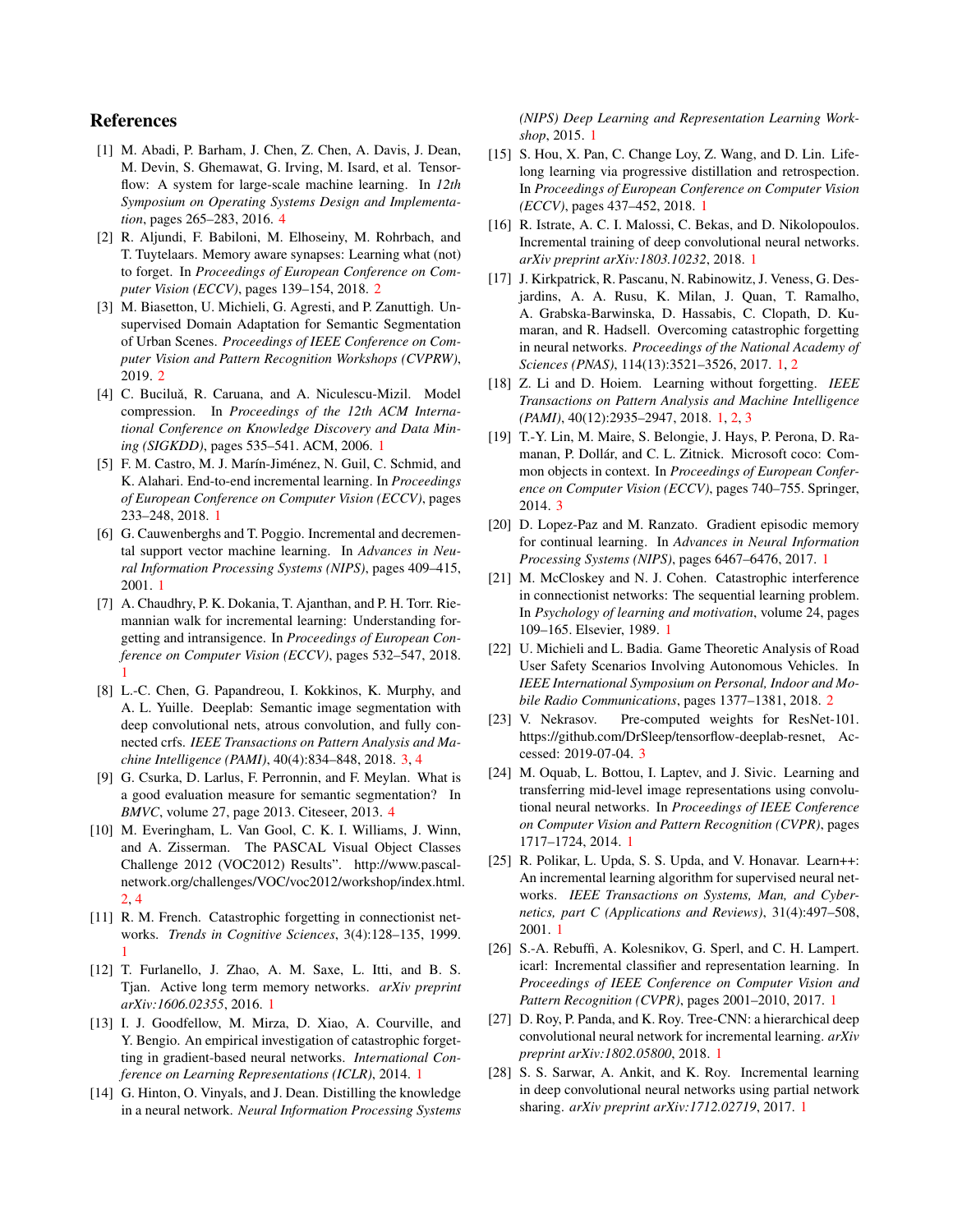### References

- [1] M. Abadi, P. Barham, J. Chen, Z. Chen, A. Davis, J. Dean, M. Devin, S. Ghemawat, G. Irving, M. Isard, et al. Tensorflow: A system for large-scale machine learning. In *12th Symposium on Operating Systems Design and Implementation*, pages 265–283, 2016. 4
- [2] R. Aljundi, F. Babiloni, M. Elhoseiny, M. Rohrbach, and T. Tuytelaars. Memory aware synapses: Learning what (not) to forget. In *Proceedings of European Conference on Computer Vision (ECCV)*, pages 139–154, 2018. 2
- [3] M. Biasetton, U. Michieli, G. Agresti, and P. Zanuttigh. Unsupervised Domain Adaptation for Semantic Segmentation of Urban Scenes. *Proceedings of IEEE Conference on Computer Vision and Pattern Recognition Workshops (CVPRW)*, 2019. 2
- [4] C. Buciluǎ, R. Caruana, and A. Niculescu-Mizil. Model compression. In *Proceedings of the 12th ACM International Conference on Knowledge Discovery and Data Mining (SIGKDD)*, pages 535–541. ACM, 2006. 1
- [5] F. M. Castro, M. J. Marín-Jiménez, N. Guil, C. Schmid, and K. Alahari. End-to-end incremental learning. In *Proceedings of European Conference on Computer Vision (ECCV)*, pages 233–248, 2018. 1
- [6] G. Cauwenberghs and T. Poggio. Incremental and decremental support vector machine learning. In *Advances in Neural Information Processing Systems (NIPS)*, pages 409–415, 2001. 1
- [7] A. Chaudhry, P. K. Dokania, T. Ajanthan, and P. H. Torr. Riemannian walk for incremental learning: Understanding forgetting and intransigence. In *Proceedings of European Conference on Computer Vision (ECCV)*, pages 532–547, 2018. 1
- [8] L.-C. Chen, G. Papandreou, I. Kokkinos, K. Murphy, and A. L. Yuille. Deeplab: Semantic image segmentation with deep convolutional nets, atrous convolution, and fully connected crfs. *IEEE Transactions on Pattern Analysis and Machine Intelligence (PAMI)*, 40(4):834–848, 2018. 3, 4
- [9] G. Csurka, D. Larlus, F. Perronnin, and F. Meylan. What is a good evaluation measure for semantic segmentation? In *BMVC*, volume 27, page 2013. Citeseer, 2013. 4
- [10] M. Everingham, L. Van Gool, C. K. I. Williams, J. Winn, and A. Zisserman. The PASCAL Visual Object Classes Challenge 2012 (VOC2012) Results". http://www.pascalnetwork.org/challenges/VOC/voc2012/workshop/index.html. 2, 4
- [11] R. M. French. Catastrophic forgetting in connectionist networks. *Trends in Cognitive Sciences*, 3(4):128–135, 1999. 1
- [12] T. Furlanello, J. Zhao, A. M. Saxe, L. Itti, and B. S. Tjan. Active long term memory networks. *arXiv preprint arXiv:1606.02355*, 2016. 1
- [13] I. J. Goodfellow, M. Mirza, D. Xiao, A. Courville, and Y. Bengio. An empirical investigation of catastrophic forgetting in gradient-based neural networks. *International Conference on Learning Representations (ICLR)*, 2014. 1
- [14] G. Hinton, O. Vinyals, and J. Dean. Distilling the knowledge in a neural network. *Neural Information Processing Systems*

*(NIPS) Deep Learning and Representation Learning Workshop*, 2015. 1

- [15] S. Hou, X. Pan, C. Change Loy, Z. Wang, and D. Lin. Lifelong learning via progressive distillation and retrospection. In *Proceedings of European Conference on Computer Vision (ECCV)*, pages 437–452, 2018. 1
- [16] R. Istrate, A. C. I. Malossi, C. Bekas, and D. Nikolopoulos. Incremental training of deep convolutional neural networks. *arXiv preprint arXiv:1803.10232*, 2018. 1
- [17] J. Kirkpatrick, R. Pascanu, N. Rabinowitz, J. Veness, G. Desjardins, A. A. Rusu, K. Milan, J. Quan, T. Ramalho, A. Grabska-Barwinska, D. Hassabis, C. Clopath, D. Kumaran, and R. Hadsell. Overcoming catastrophic forgetting in neural networks. *Proceedings of the National Academy of Sciences (PNAS)*, 114(13):3521–3526, 2017. 1, 2
- [18] Z. Li and D. Hoiem. Learning without forgetting. *IEEE Transactions on Pattern Analysis and Machine Intelligence (PAMI)*, 40(12):2935–2947, 2018. 1, 2, 3
- [19] T.-Y. Lin, M. Maire, S. Belongie, J. Hays, P. Perona, D. Ramanan, P. Dollár, and C. L. Zitnick. Microsoft coco: Common objects in context. In *Proceedings of European Conference on Computer Vision (ECCV)*, pages 740–755. Springer, 2014. 3
- [20] D. Lopez-Paz and M. Ranzato. Gradient episodic memory for continual learning. In *Advances in Neural Information Processing Systems (NIPS)*, pages 6467–6476, 2017. 1
- [21] M. McCloskey and N. J. Cohen. Catastrophic interference in connectionist networks: The sequential learning problem. In *Psychology of learning and motivation*, volume 24, pages 109–165. Elsevier, 1989. 1
- [22] U. Michieli and L. Badia. Game Theoretic Analysis of Road User Safety Scenarios Involving Autonomous Vehicles. In *IEEE International Symposium on Personal, Indoor and Mobile Radio Communications*, pages 1377–1381, 2018. 2
- [23] V. Nekrasov. Pre-computed weights for ResNet-101. https://github.com/DrSleep/tensorflow-deeplab-resnet, Accessed: 2019-07-04. 3
- [24] M. Oquab, L. Bottou, I. Laptev, and J. Sivic. Learning and transferring mid-level image representations using convolutional neural networks. In *Proceedings of IEEE Conference on Computer Vision and Pattern Recognition (CVPR)*, pages 1717–1724, 2014. 1
- [25] R. Polikar, L. Upda, S. S. Upda, and V. Honavar. Learn++: An incremental learning algorithm for supervised neural networks. *IEEE Transactions on Systems, Man, and Cybernetics, part C (Applications and Reviews)*, 31(4):497–508, 2001. 1
- [26] S.-A. Rebuffi, A. Kolesnikov, G. Sperl, and C. H. Lampert. icarl: Incremental classifier and representation learning. In *Proceedings of IEEE Conference on Computer Vision and Pattern Recognition (CVPR)*, pages 2001–2010, 2017. 1
- [27] D. Roy, P. Panda, and K. Roy. Tree-CNN: a hierarchical deep convolutional neural network for incremental learning. *arXiv preprint arXiv:1802.05800*, 2018. 1
- [28] S. S. Sarwar, A. Ankit, and K. Roy. Incremental learning in deep convolutional neural networks using partial network sharing. *arXiv preprint arXiv:1712.02719*, 2017. 1